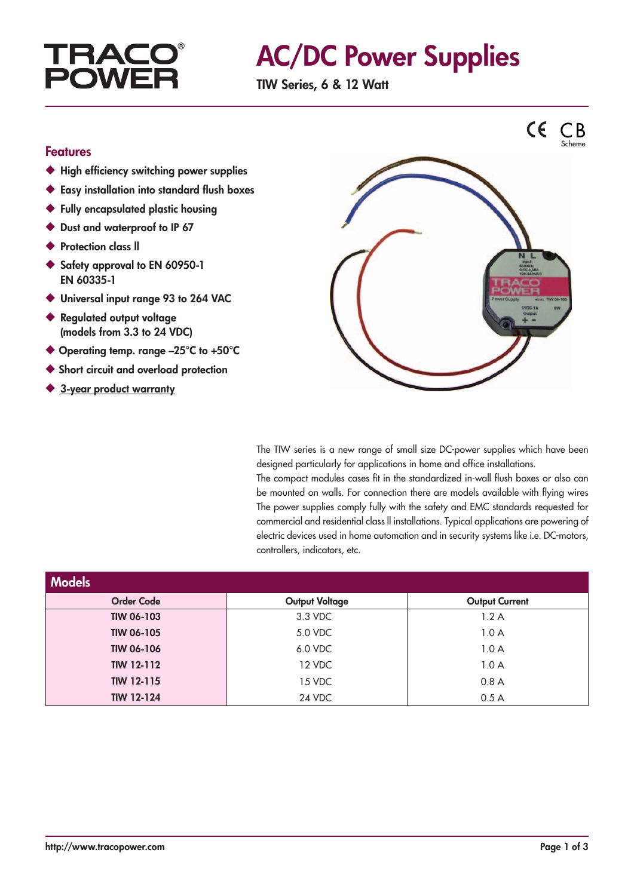## **TRAC POWF**

# AC/DC Power Supplies

TIW Series, 6 & 12 Watt

#### Features

- ◆ High efficiency switching power supplies
- ◆ Easy installation into standard flush boxes
- ◆ Fully encapsulated plastic housing
- ◆ Dust and waterproof to IP 67
- ◆ Protection class II
- ◆ Safety approval to EN 60950-1 EN 60335-1
- ◆ Universal input range 93 to 264 VAC
- ◆ Regulated output voltage (models from 3.3 to 24 VDC)
- ◆ Operating temp. range -25°C to +50°C
- ◆ Short circuit and overload protection
- ◆ 3-year product warranty



The TIW series is a new range of small size DC-power supplies which have been designed particularly for applications in home and office installations.

The compact modules cases fit in the standardized in-wall flush boxes or also can be mounted on walls. For connection there are models available with flying wires The power supplies comply fully with the safety and EMC standards requested for commercial and residential class ll installations. Typical applications are powering of electric devices used in home automation and in security systems like i.e. DC-motors, controllers, indicators, etc.

| <b>Models</b>     |                       |                       |  |  |  |  |
|-------------------|-----------------------|-----------------------|--|--|--|--|
| <b>Order Code</b> | <b>Output Voltage</b> | <b>Output Current</b> |  |  |  |  |
| <b>TIW 06-103</b> | 3.3 VDC               | 1.2A                  |  |  |  |  |
| <b>TIW 06-105</b> | 5.0 VDC               | 1.0A                  |  |  |  |  |
| <b>TIW 06-106</b> | 6.0 VDC               | 1.0A                  |  |  |  |  |
| <b>TIW 12-112</b> | 12 VDC                | 1.0A                  |  |  |  |  |
| <b>TIW 12-115</b> | 15 VDC                | 0.8A                  |  |  |  |  |
| <b>TIW 12-124</b> | 24 VDC                | 0.5A                  |  |  |  |  |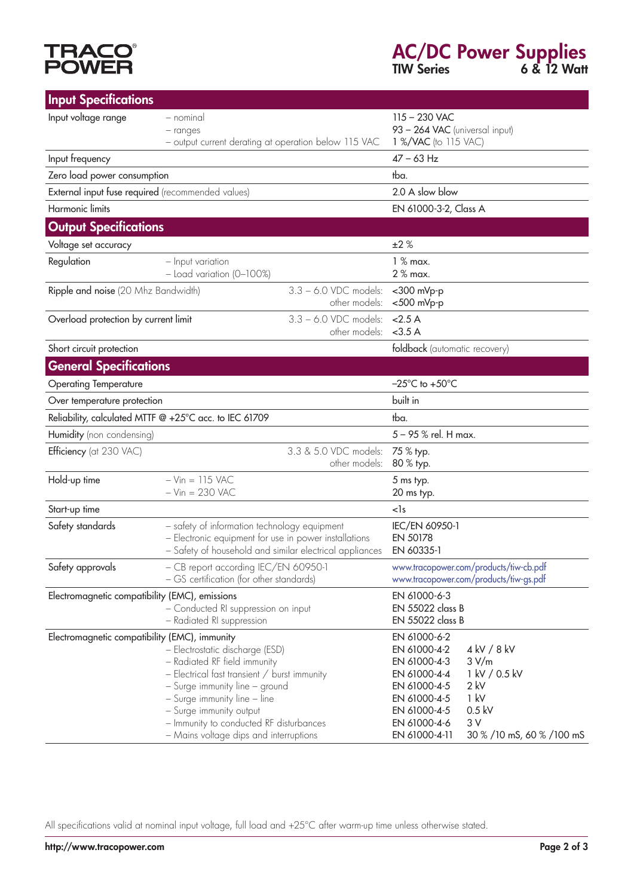# **TRACO<sup>®</sup>**<br>POWER

### AC/DC Power Supplies TIW Series 6 & 12 Watt

| <b>Input Specifications</b>                                                                                        |                                                                                                                                                                                                                                                                                                   |                                                      |                                                                                                                                               |                                                                                                        |
|--------------------------------------------------------------------------------------------------------------------|---------------------------------------------------------------------------------------------------------------------------------------------------------------------------------------------------------------------------------------------------------------------------------------------------|------------------------------------------------------|-----------------------------------------------------------------------------------------------------------------------------------------------|--------------------------------------------------------------------------------------------------------|
| Input voltage range                                                                                                | - nominal<br>- ranges<br>- output current derating at operation below 115 VAC                                                                                                                                                                                                                     |                                                      | $115 - 230$ VAC<br>93 - 264 VAC (universal input)<br>1 %/VAC (to 115 VAC)                                                                     |                                                                                                        |
| Input frequency                                                                                                    |                                                                                                                                                                                                                                                                                                   |                                                      | $47 - 63$ Hz                                                                                                                                  |                                                                                                        |
| Zero load power consumption                                                                                        |                                                                                                                                                                                                                                                                                                   |                                                      | tba.                                                                                                                                          |                                                                                                        |
| External input fuse required (recommended values)                                                                  |                                                                                                                                                                                                                                                                                                   |                                                      | 2.0 A slow blow                                                                                                                               |                                                                                                        |
| Harmonic limits                                                                                                    |                                                                                                                                                                                                                                                                                                   |                                                      | EN 61000-3-2, Class A                                                                                                                         |                                                                                                        |
| <b>Output Specifications</b>                                                                                       |                                                                                                                                                                                                                                                                                                   |                                                      |                                                                                                                                               |                                                                                                        |
| Voltage set accuracy                                                                                               |                                                                                                                                                                                                                                                                                                   |                                                      | ±2%                                                                                                                                           |                                                                                                        |
| Regulation                                                                                                         | - Input variation<br>$-$ Load variation (0-100%)                                                                                                                                                                                                                                                  |                                                      | $1%$ max.<br>2 % max.                                                                                                                         |                                                                                                        |
| Ripple and noise (20 Mhz Bandwidth)                                                                                |                                                                                                                                                                                                                                                                                                   | $3.3 - 6.0$ VDC models:<br>other models:             | <300 mVp-p<br><500 mVp-p                                                                                                                      |                                                                                                        |
| Overload protection by current limit                                                                               |                                                                                                                                                                                                                                                                                                   | $3.3 - 6.0$ VDC models:<br>other models:             | < 2.5 A<br>$<$ 3.5 A                                                                                                                          |                                                                                                        |
| Short circuit protection                                                                                           |                                                                                                                                                                                                                                                                                                   |                                                      | foldback (automatic recovery)                                                                                                                 |                                                                                                        |
| <b>General Specifications</b>                                                                                      |                                                                                                                                                                                                                                                                                                   |                                                      |                                                                                                                                               |                                                                                                        |
| <b>Operating Temperature</b>                                                                                       |                                                                                                                                                                                                                                                                                                   |                                                      | $-25^{\circ}$ C to $+50^{\circ}$ C                                                                                                            |                                                                                                        |
| Over temperature protection                                                                                        |                                                                                                                                                                                                                                                                                                   |                                                      | built in                                                                                                                                      |                                                                                                        |
| Reliability, calculated MTTF @ +25°C acc. to IEC 61709                                                             |                                                                                                                                                                                                                                                                                                   |                                                      | tba.                                                                                                                                          |                                                                                                        |
| Humidity (non condensing)                                                                                          |                                                                                                                                                                                                                                                                                                   |                                                      | 5 - 95 % rel. H max.                                                                                                                          |                                                                                                        |
| Efficiency (at 230 VAC)                                                                                            |                                                                                                                                                                                                                                                                                                   | 3.3 & 5.0 VDC models:<br>other models:               | 75 % typ.<br>80 % typ.                                                                                                                        |                                                                                                        |
| Hold-up time                                                                                                       | $-Vin = 115$ VAC<br>$-Vin = 230$ VAC                                                                                                                                                                                                                                                              |                                                      | 5 ms typ.<br>20 ms typ.                                                                                                                       |                                                                                                        |
| Start-up time                                                                                                      |                                                                                                                                                                                                                                                                                                   |                                                      | $<$ s                                                                                                                                         |                                                                                                        |
| Safety standards                                                                                                   | - safety of information technology equipment<br>- Electronic equipment for use in power installations<br>- Safety of household and similar electrical appliances                                                                                                                                  |                                                      | IEC/EN 60950-1<br>EN 50178<br>EN 60335-1                                                                                                      |                                                                                                        |
| Safety approvals                                                                                                   | - CB report according IEC/EN 60950-1<br>- GS certification (for other standards)                                                                                                                                                                                                                  |                                                      | www.tracopower.com/products/tiw-cb.pdf<br>www.tracopower.com/products/tiw-gs.pdf                                                              |                                                                                                        |
| Electromagnetic compatibility (EMC), emissions<br>- Conducted RI suppression on input<br>- Radiated RI suppression |                                                                                                                                                                                                                                                                                                   | EN 61000-6-3<br>EN 55022 class B<br>EN 55022 class B |                                                                                                                                               |                                                                                                        |
| Electromagnetic compatibility (EMC), immunity                                                                      | - Electrostatic discharge (ESD)<br>- Radiated RF field immunity<br>- Electrical fast transient / burst immunity<br>- Surge immunity line - ground<br>- Surge immunity line - line<br>- Surge immunity output<br>- Immunity to conducted RF disturbances<br>- Mains voltage dips and interruptions |                                                      | EN 61000-6-2<br>EN 61000-4-2<br>EN 61000-4-3<br>EN 61000-4-4<br>EN 61000-4-5<br>EN 61000-4-5<br>EN 61000-4-5<br>EN 61000-4-6<br>EN 61000-4-11 | 4 kV / 8 kV<br>3 V/m<br>1 kV / 0.5 kV<br>$2$ kV<br>1 kV<br>$0.5$ kV<br>3V<br>30 % /10 mS, 60 % /100 mS |

All specifications valid at nominal input voltage, full load and +25°C after warm-up time unless otherwise stated.